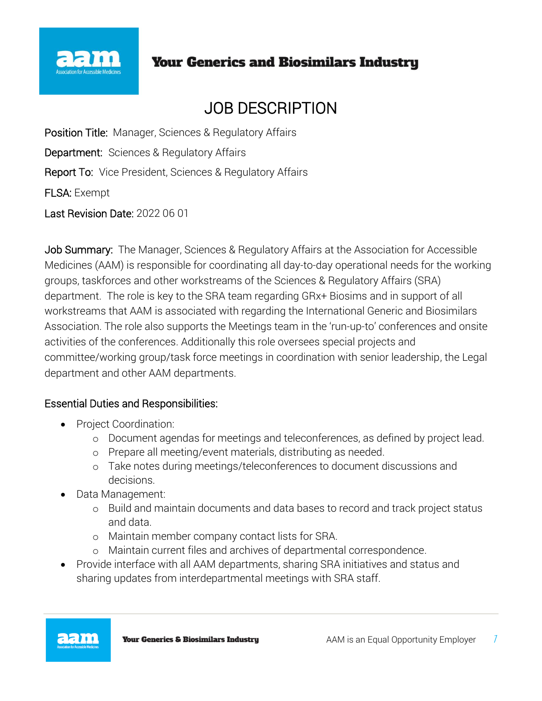

# **Your Generics and Biosimilars Industry**

# JOB DESCRIPTION

Position Title: Manager, Sciences & Regulatory Affairs Department:Sciences & Regulatory Affairs Report To:Vice President, Sciences & Regulatory Affairs FLSA: Exempt

Last Revision Date: 2022 06 01

Job Summary: The Manager, Sciences & Regulatory Affairs at the Association for Accessible Medicines (AAM) is responsible for coordinating all day-to-day operational needs for the working groups, taskforces and other workstreams of the Sciences & Regulatory Affairs (SRA) department. The role is key to the SRA team regarding GRx+ Biosims and in support of all workstreams that AAM is associated with regarding the International Generic and Biosimilars Association. The role also supports the Meetings team in the 'run-up-to' conferences and onsite activities of the conferences. Additionally this role oversees special projects and committee/working group/task force meetings in coordination with senior leadership, the Legal department and other AAM departments.

### Essential Duties and Responsibilities:

- Project Coordination:
	- o Document agendas for meetings and teleconferences, as defined by project lead.
	- o Prepare all meeting/event materials, distributing as needed.
	- o Take notes during meetings/teleconferences to document discussions and decisions.
- Data Management:
	- o Build and maintain documents and data bases to record and track project status and data.
	- o Maintain member company contact lists for SRA.
	- o Maintain current files and archives of departmental correspondence.
- Provide interface with all AAM departments, sharing SRA initiatives and status and sharing updates from interdepartmental meetings with SRA staff.

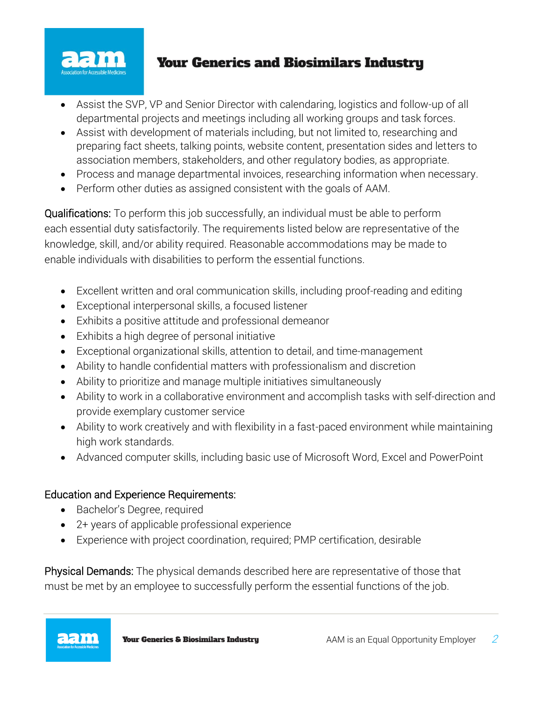

## **Your Generics and Biosimilars Industry**

- Assist the SVP, VP and Senior Director with calendaring, logistics and follow-up of all departmental projects and meetings including all working groups and task forces.
- Assist with development of materials including, but not limited to, researching and preparing fact sheets, talking points, website content, presentation sides and letters to association members, stakeholders, and other regulatory bodies, as appropriate.
- Process and manage departmental invoices, researching information when necessary.
- Perform other duties as assigned consistent with the goals of AAM.

Qualifications: To perform this job successfully, an individual must be able to perform each essential duty satisfactorily. The requirements listed below are representative of the knowledge, skill, and/or ability required. Reasonable accommodations may be made to enable individuals with disabilities to perform the essential functions.

- Excellent written and oral communication skills, including proof-reading and editing
- Exceptional interpersonal skills, a focused listener
- Exhibits a positive attitude and professional demeanor
- Exhibits a high degree of personal initiative
- Exceptional organizational skills, attention to detail, and time-management
- Ability to handle confidential matters with professionalism and discretion
- Ability to prioritize and manage multiple initiatives simultaneously
- Ability to work in a collaborative environment and accomplish tasks with self-direction and provide exemplary customer service
- Ability to work creatively and with flexibility in a fast-paced environment while maintaining high work standards.
- Advanced computer skills, including basic use of Microsoft Word, Excel and PowerPoint

### Education and Experience Requirements:

- Bachelor's Degree, required
- 2+ years of applicable professional experience
- Experience with project coordination, required; PMP certification, desirable

Physical Demands: The physical demands described here are representative of those that must be met by an employee to successfully perform the essential functions of the job.